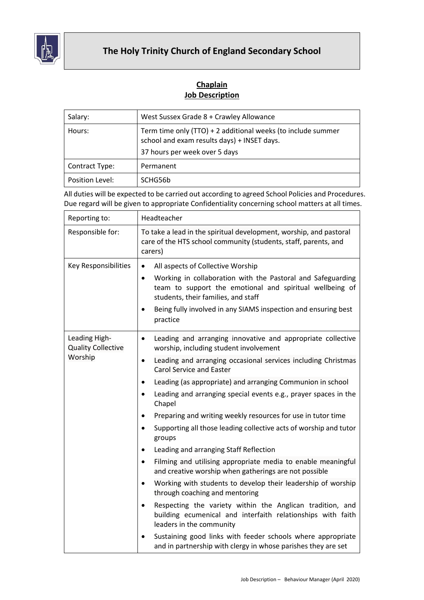

## **The Holy Trinity Church of England Secondary School**

## **Chaplain Job Description**

| Salary:         | West Sussex Grade 8 + Crawley Allowance                                                                                                      |
|-----------------|----------------------------------------------------------------------------------------------------------------------------------------------|
| Hours:          | Term time only (TTO) + 2 additional weeks (to include summer<br>school and exam results days) + INSET days.<br>37 hours per week over 5 days |
| Contract Type:  | Permanent                                                                                                                                    |
| Position Level: | SCHG56b                                                                                                                                      |

All duties will be expected to be carried out according to agreed School Policies and Procedures. Due regard will be given to appropriate Confidentiality concerning school matters at all times.

| Reporting to:                                         | Headteacher                                                                                                                                                                 |
|-------------------------------------------------------|-----------------------------------------------------------------------------------------------------------------------------------------------------------------------------|
| Responsible for:                                      | To take a lead in the spiritual development, worship, and pastoral<br>care of the HTS school community (students, staff, parents, and<br>carers)                            |
| Key Responsibilities                                  | All aspects of Collective Worship<br>$\bullet$                                                                                                                              |
|                                                       | Working in collaboration with the Pastoral and Safeguarding<br>$\bullet$<br>team to support the emotional and spiritual wellbeing of<br>students, their families, and staff |
|                                                       | Being fully involved in any SIAMS inspection and ensuring best<br>$\bullet$<br>practice                                                                                     |
| Leading High-<br><b>Quality Collective</b><br>Worship | Leading and arranging innovative and appropriate collective<br>$\bullet$<br>worship, including student involvement                                                          |
|                                                       | Leading and arranging occasional services including Christmas<br>$\bullet$<br><b>Carol Service and Easter</b>                                                               |
|                                                       | Leading (as appropriate) and arranging Communion in school<br>$\bullet$                                                                                                     |
|                                                       | Leading and arranging special events e.g., prayer spaces in the<br>$\bullet$<br>Chapel                                                                                      |
|                                                       | Preparing and writing weekly resources for use in tutor time<br>$\bullet$                                                                                                   |
|                                                       | Supporting all those leading collective acts of worship and tutor<br>groups                                                                                                 |
|                                                       | Leading and arranging Staff Reflection                                                                                                                                      |
|                                                       | Filming and utilising appropriate media to enable meaningful<br>$\bullet$<br>and creative worship when gatherings are not possible                                          |
|                                                       | Working with students to develop their leadership of worship<br>$\bullet$<br>through coaching and mentoring                                                                 |
|                                                       | Respecting the variety within the Anglican tradition, and<br>$\bullet$<br>building ecumenical and interfaith relationships with faith<br>leaders in the community           |
|                                                       | Sustaining good links with feeder schools where appropriate<br>and in partnership with clergy in whose parishes they are set                                                |